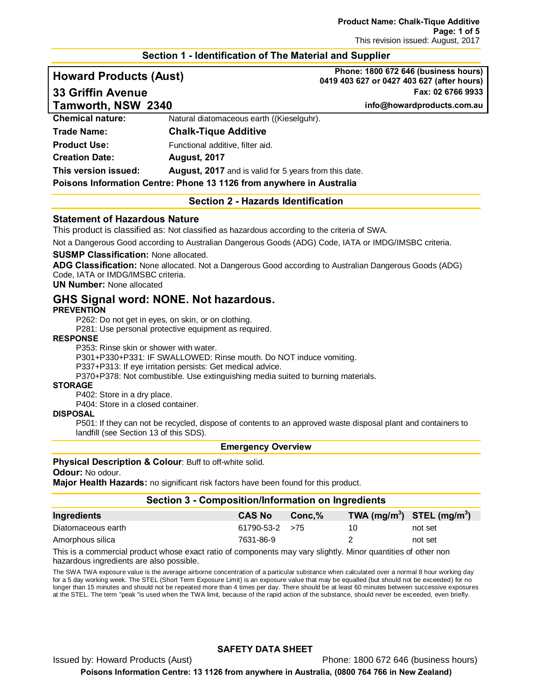#### **Section 1 - Identification of The Material and Supplier**

**Howard Products (Aust) Phone: 1800 672 646 (business hours) 0419 403 627 or 0427 403 627 (after hours) 33 Griffin Avenue Fax: 02 6766 9933**

| Tamworth, NSW 2340      |                                                                      | info@howardproducts.com.au |
|-------------------------|----------------------------------------------------------------------|----------------------------|
| <b>Chemical nature:</b> | Natural diatomaceous earth ((Kieselguhr).                            |                            |
| <b>Trade Name:</b>      | <b>Chalk-Tique Additive</b>                                          |                            |
| <b>Product Use:</b>     | Functional additive, filter aid.                                     |                            |
| <b>Creation Date:</b>   | <b>August, 2017</b>                                                  |                            |
| This version issued:    | <b>August, 2017</b> and is valid for 5 years from this date.         |                            |
|                         | Poisons Information Centre: Phone 13 1126 from anywhere in Australia |                            |

#### **Section 2 - Hazards Identification**

#### **Statement of Hazardous Nature**

This product is classified as: Not classified as hazardous according to the criteria of SWA.

Not a Dangerous Good according to Australian Dangerous Goods (ADG) Code, IATA or IMDG/IMSBC criteria.

#### **SUSMP Classification:** None allocated.

**ADG Classification:** None allocated. Not a Dangerous Good according to Australian Dangerous Goods (ADG) Code, IATA or IMDG/IMSBC criteria.

#### **UN Number:** None allocated

# **GHS Signal word: NONE. Not hazardous.**

**PREVENTION**

P262: Do not get in eyes, on skin, or on clothing.

P281: Use personal protective equipment as required.

#### **RESPONSE**

P353: Rinse skin or shower with water.

P301+P330+P331: IF SWALLOWED: Rinse mouth. Do NOT induce vomiting.

P337+P313: If eye irritation persists: Get medical advice.

P370+P378: Not combustible. Use extinguishing media suited to burning materials.

#### **STORAGE**

P402: Store in a dry place.

P404: Store in a closed container.

#### **DISPOSAL**

P501: If they can not be recycled, dispose of contents to an approved waste disposal plant and containers to landfill (see Section 13 of this SDS).

#### **Emergency Overview**

#### **Physical Description & Colour: Buff to off-white solid.**

#### **Odour:** No odour.

**Major Health Hazards:** no significant risk factors have been found for this product.

#### **Section 3 - Composition/Information on Ingredients**

| Ingredients        | <b>CAS No</b>         | $Conc.\%$ | TWA $(mg/m^3)$ STEL $(mg/m^3)$ |         |
|--------------------|-----------------------|-----------|--------------------------------|---------|
| Diatomaceous earth | $61790 - 53 - 2 > 75$ |           |                                | not set |
| Amorphous silica   | 7631-86-9             |           |                                | not set |

This is a commercial product whose exact ratio of components may vary slightly. Minor quantities of other non hazardous ingredients are also possible.

The SWA TWA exposure value is the average airborne concentration of a particular substance when calculated over a normal 8 hour working day for a 5 day working week. The STEL (Short Term Exposure Limit) is an exposure value that may be equalled (but should not be exceeded) for no longer than 15 minutes and should not be repeated more than 4 times per day. There should be at least 60 minutes between successive exposures at the STEL. The term "peak "is used when the TWA limit, because of the rapid action of the substance, should never be exceeded, even briefly.

#### **SAFETY DATA SHEET**

Issued by: Howard Products (Aust) Phone: 1800 672 646 (business hours)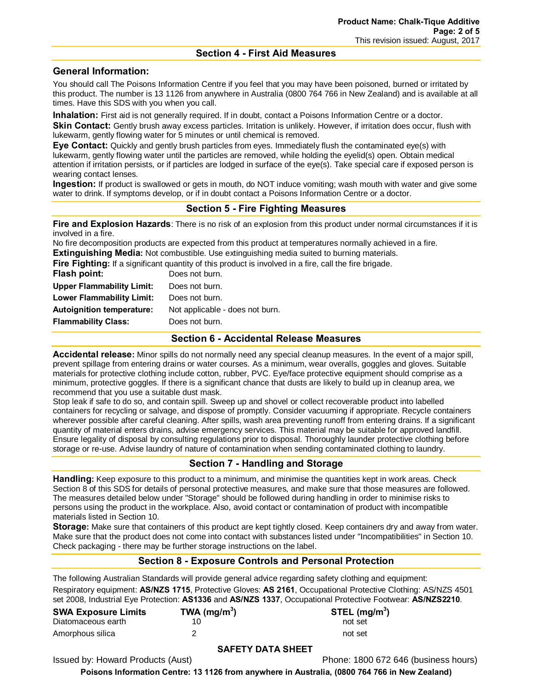#### **Section 4 - First Aid Measures**

## **General Information:**

You should call The Poisons Information Centre if you feel that you may have been poisoned, burned or irritated by this product. The number is 13 1126 from anywhere in Australia (0800 764 766 in New Zealand) and is available at all times. Have this SDS with you when you call.

**Inhalation:** First aid is not generally required. If in doubt, contact a Poisons Information Centre or a doctor. **Skin Contact:** Gently brush away excess particles. Irritation is unlikely. However, if irritation does occur, flush with

lukewarm, gently flowing water for 5 minutes or until chemical is removed. **Eye Contact:** Quickly and gently brush particles from eyes. Immediately flush the contaminated eye(s) with lukewarm, gently flowing water until the particles are removed, while holding the eyelid(s) open. Obtain medical attention if irritation persists, or if particles are lodged in surface of the eye(s). Take special care if exposed person is wearing contact lenses.

**Ingestion:** If product is swallowed or gets in mouth, do NOT induce vomiting; wash mouth with water and give some water to drink. If symptoms develop, or if in doubt contact a Poisons Information Centre or a doctor.

## **Section 5 - Fire Fighting Measures**

**Fire and Explosion Hazards**: There is no risk of an explosion from this product under normal circumstances if it is involved in a fire.

No fire decomposition products are expected from this product at temperatures normally achieved in a fire. **Extinguishing Media:** Not combustible. Use extinguishing media suited to burning materials.

**Fire Fighting:** If a significant quantity of this product is involved in a fire, call the fire brigade.

| Flash point:                     | Does not burn.                  |
|----------------------------------|---------------------------------|
| <b>Upper Flammability Limit:</b> | Does not burn.                  |
| Lower Flammability Limit:        | Does not burn.                  |
| <b>Autoignition temperature:</b> | Not applicable - does not burn. |
| <b>Flammability Class:</b>       | Does not burn.                  |
|                                  |                                 |

#### **Section 6 - Accidental Release Measures**

**Accidental release:** Minor spills do not normally need any special cleanup measures. In the event of a major spill, prevent spillage from entering drains or water courses. As a minimum, wear overalls, goggles and gloves. Suitable materials for protective clothing include cotton, rubber, PVC. Eye/face protective equipment should comprise as a minimum, protective goggles. If there is a significant chance that dusts are likely to build up in cleanup area, we recommend that you use a suitable dust mask.

Stop leak if safe to do so, and contain spill. Sweep up and shovel or collect recoverable product into labelled containers for recycling or salvage, and dispose of promptly. Consider vacuuming if appropriate. Recycle containers wherever possible after careful cleaning. After spills, wash area preventing runoff from entering drains. If a significant quantity of material enters drains, advise emergency services. This material may be suitable for approved landfill. Ensure legality of disposal by consulting regulations prior to disposal. Thoroughly launder protective clothing before storage or re-use. Advise laundry of nature of contamination when sending contaminated clothing to laundry.

## **Section 7 - Handling and Storage**

**Handling:** Keep exposure to this product to a minimum, and minimise the quantities kept in work areas. Check Section 8 of this SDS for details of personal protective measures, and make sure that those measures are followed. The measures detailed below under "Storage" should be followed during handling in order to minimise risks to persons using the product in the workplace. Also, avoid contact or contamination of product with incompatible materials listed in Section 10.

**Storage:** Make sure that containers of this product are kept tightly closed. Keep containers dry and away from water. Make sure that the product does not come into contact with substances listed under "Incompatibilities" in Section 10. Check packaging - there may be further storage instructions on the label.

## **Section 8 - Exposure Controls and Personal Protection**

The following Australian Standards will provide general advice regarding safety clothing and equipment: Respiratory equipment: **AS/NZS 1715**, Protective Gloves: **AS 2161**, Occupational Protective Clothing: AS/NZS 4501 set 2008, Industrial Eye Protection: **AS1336** and **AS/NZS 1337**, Occupational Protective Footwear: **AS/NZS2210**.

| <b>SWA Exposure Limits</b> | TWA ( $mg/m3$ ) | STEL (mg/m <sup>3</sup> ) |
|----------------------------|-----------------|---------------------------|
| Diatomaceous earth         |                 | not set                   |
| Amorphous silica           |                 | not set                   |

#### **SAFETY DATA SHEET**

Issued by: Howard Products (Aust) **Phone: 1800 672 646 (business hours)**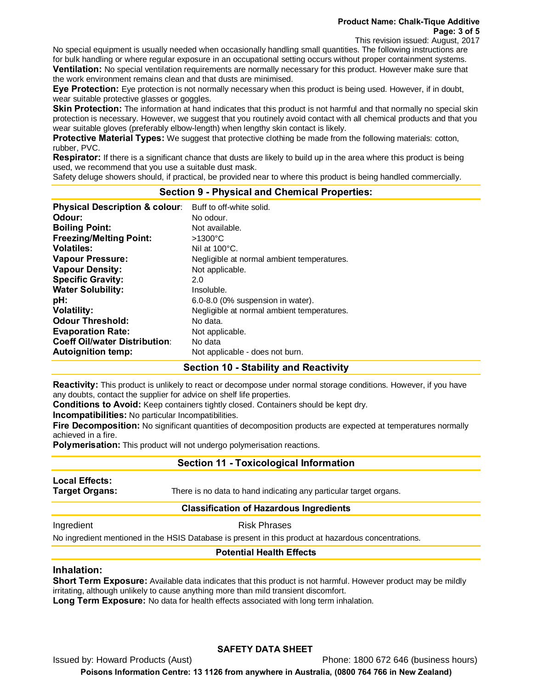**Product Name: Chalk-Tique Additive Page: 3 of 5**

This revision issued: August, 2017

No special equipment is usually needed when occasionally handling small quantities. The following instructions are for bulk handling or where regular exposure in an occupational setting occurs without proper containment systems. **Ventilation:** No special ventilation requirements are normally necessary for this product. However make sure that the work environment remains clean and that dusts are minimised.

**Eye Protection:** Eye protection is not normally necessary when this product is being used. However, if in doubt, wear suitable protective glasses or goggles.

**Skin Protection:** The information at hand indicates that this product is not harmful and that normally no special skin protection is necessary. However, we suggest that you routinely avoid contact with all chemical products and that you wear suitable gloves (preferably elbow-length) when lengthy skin contact is likely.

**Protective Material Types:** We suggest that protective clothing be made from the following materials: cotton, rubber, PVC.

**Respirator:** If there is a significant chance that dusts are likely to build up in the area where this product is being used, we recommend that you use a suitable dust mask.

Safety deluge showers should, if practical, be provided near to where this product is being handled commercially.

## **Section 9 - Physical and Chemical Properties:**

| <b>Physical Description &amp; colour:</b> | Buff to off-white solid.                   |
|-------------------------------------------|--------------------------------------------|
| Odour:                                    | No odour.                                  |
| <b>Boiling Point:</b>                     | Not available.                             |
| <b>Freezing/Melting Point:</b>            | $>1300^{\circ}$ C                          |
| <b>Volatiles:</b>                         | Nil at $100^{\circ}$ C.                    |
| <b>Vapour Pressure:</b>                   | Negligible at normal ambient temperatures. |
| <b>Vapour Density:</b>                    | Not applicable.                            |
| <b>Specific Gravity:</b>                  | 2.0                                        |
| <b>Water Solubility:</b>                  | Insoluble.                                 |
| pH:                                       | 6.0-8.0 (0% suspension in water).          |
| <b>Volatility:</b>                        | Negligible at normal ambient temperatures. |
| <b>Odour Threshold:</b>                   | No data.                                   |
| <b>Evaporation Rate:</b>                  | Not applicable.                            |
| <b>Coeff Oil/water Distribution:</b>      | No data                                    |
| <b>Autoignition temp:</b>                 | Not applicable - does not burn.            |

#### **Section 10 - Stability and Reactivity**

**Reactivity:** This product is unlikely to react or decompose under normal storage conditions. However, if you have any doubts, contact the supplier for advice on shelf life properties.

**Conditions to Avoid:** Keep containers tightly closed. Containers should be kept dry.

**Incompatibilities:** No particular Incompatibilities.

**Fire Decomposition:** No significant quantities of decomposition products are expected at temperatures normally achieved in a fire.

**Polymerisation:** This product will not undergo polymerisation reactions.

#### **Section 11 - Toxicological Information**

**Local Effects:** 

**Target Organs:** There is no data to hand indicating any particular target organs.

#### **Classification of Hazardous Ingredients**

Ingredient **Risk Phrases** 

No ingredient mentioned in the HSIS Database is present in this product at hazardous concentrations.

#### **Potential Health Effects**

#### **Inhalation:**

**Short Term Exposure:** Available data indicates that this product is not harmful. However product may be mildly irritating, although unlikely to cause anything more than mild transient discomfort.

**Long Term Exposure:** No data for health effects associated with long term inhalation.

#### **SAFETY DATA SHEET**

Issued by: Howard Products (Aust) Phone: 1800 672 646 (business hours)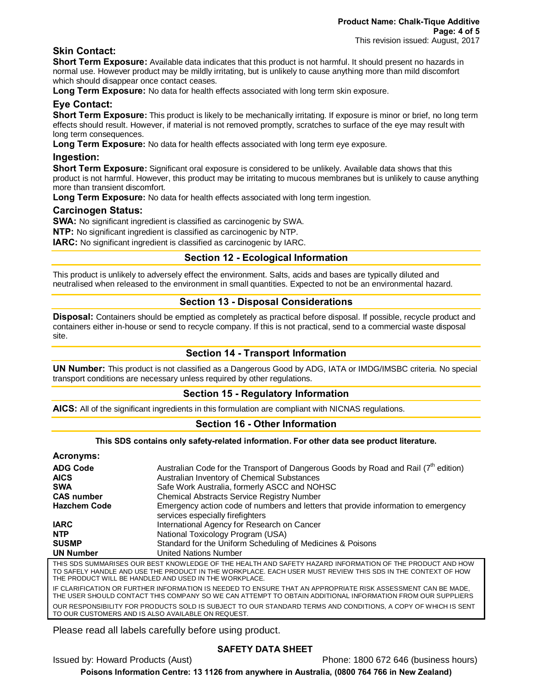## **Skin Contact:**

**Short Term Exposure:** Available data indicates that this product is not harmful. It should present no hazards in normal use. However product may be mildly irritating, but is unlikely to cause anything more than mild discomfort which should disappear once contact ceases.

**Long Term Exposure:** No data for health effects associated with long term skin exposure.

## **Eye Contact:**

**Short Term Exposure:** This product is likely to be mechanically irritating. If exposure is minor or brief, no long term effects should result. However, if material is not removed promptly, scratches to surface of the eye may result with long term consequences.

**Long Term Exposure:** No data for health effects associated with long term eye exposure.

#### **Ingestion:**

**Short Term Exposure:** Significant oral exposure is considered to be unlikely. Available data shows that this product is not harmful. However, this product may be irritating to mucous membranes but is unlikely to cause anything more than transient discomfort.

**Long Term Exposure:** No data for health effects associated with long term ingestion.

#### **Carcinogen Status:**

**SWA:** No significant ingredient is classified as carcinogenic by SWA.

**NTP:** No significant ingredient is classified as carcinogenic by NTP.

**IARC:** No significant ingredient is classified as carcinogenic by IARC.

## **Section 12 - Ecological Information**

This product is unlikely to adversely effect the environment. Salts, acids and bases are typically diluted and neutralised when released to the environment in small quantities. Expected to not be an environmental hazard.

## **Section 13 - Disposal Considerations**

**Disposal:** Containers should be emptied as completely as practical before disposal. If possible, recycle product and containers either in-house or send to recycle company. If this is not practical, send to a commercial waste disposal site.

## **Section 14 - Transport Information**

**UN Number:** This product is not classified as a Dangerous Good by ADG, IATA or IMDG/IMSBC criteria. No special transport conditions are necessary unless required by other regulations.

## **Section 15 - Regulatory Information**

**AICS:** All of the significant ingredients in this formulation are compliant with NICNAS regulations.

## **Section 16 - Other Information**

**This SDS contains only safety-related information. For other data see product literature.**

#### **Acronyms:**

| AVIVII yHIV.                   |                                                                                                                                                                                                                                                                                    |
|--------------------------------|------------------------------------------------------------------------------------------------------------------------------------------------------------------------------------------------------------------------------------------------------------------------------------|
| <b>ADG Code</b><br><b>AICS</b> | Australian Code for the Transport of Dangerous Goods by Road and Rail (7 <sup>th</sup> edition)<br>Australian Inventory of Chemical Substances                                                                                                                                     |
| <b>SWA</b>                     | Safe Work Australia, formerly ASCC and NOHSC                                                                                                                                                                                                                                       |
| <b>CAS number</b>              | <b>Chemical Abstracts Service Registry Number</b>                                                                                                                                                                                                                                  |
| <b>Hazchem Code</b>            | Emergency action code of numbers and letters that provide information to emergency<br>services especially fire fighters                                                                                                                                                            |
| <b>IARC</b>                    | International Agency for Research on Cancer                                                                                                                                                                                                                                        |
| <b>NTP</b>                     | National Toxicology Program (USA)                                                                                                                                                                                                                                                  |
| <b>SUSMP</b>                   | Standard for the Uniform Scheduling of Medicines & Poisons                                                                                                                                                                                                                         |
| <b>UN Number</b>               | <b>United Nations Number</b>                                                                                                                                                                                                                                                       |
|                                | THIS SDS SUMMARISES OUR BEST KNOWLEDGE OF THE HEALTH AND SAFETY HAZARD INFORMATION OF THE PRODUCT AND HOW<br>TO SAFELY HANDLE AND USE THE PRODUCT IN THE WORKPLACE. EACH USER MUST REVIEW THIS SDS IN THE CONTEXT OF HOW<br>THE PRODUCT WILL BE HANDLED AND USED IN THE WORKPLACE. |
|                                | IF CLARIFICATION OR FURTHER INFORMATION IS NEEDED TO ENSURE THAT AN APPROPRIATE RISK ASSESSMENT CAN BE MADE,<br>THE USER SHOULD CONTACT THIS COMPANY SO WE CAN ATTEMPT TO OBTAIN ADDITIONAL INFORMATION FROM OUR SUPPLIERS                                                         |

OUR RESPONSIBILITY FOR PRODUCTS SOLD IS SUBJECT TO OUR STANDARD TERMS AND CONDITIONS, A COPY OF WHICH IS SENT TO OUR CUSTOMERS AND IS ALSO AVAILABLE ON REQUEST.

Please read all labels carefully before using product.

## **SAFETY DATA SHEET**

Issued by: Howard Products (Aust) Phone: 1800 672 646 (business hours)